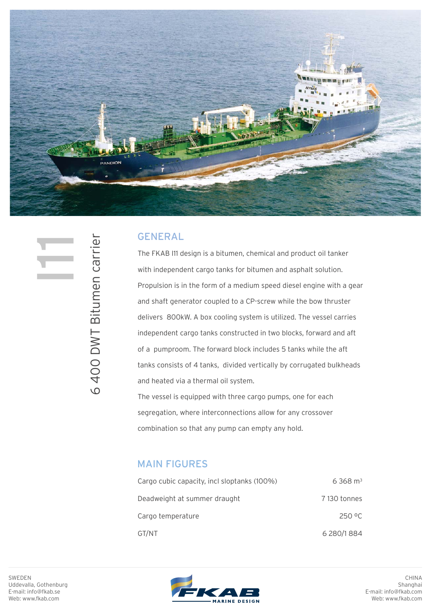

## GENERAL

The FKAB I11 design is a bitumen, chemical and product oil tanker with independent cargo tanks for bitumen and asphalt solution. Propulsion is in the form of a medium speed diesel engine with a gear and shaft generator coupled to a CP-screw while the bow thruster delivers 800kW. A box cooling system is utilized. The vessel carries independent cargo tanks constructed in two blocks, forward and aft of a pumproom. The forward block includes 5 tanks while the aft tanks consists of 4 tanks, divided vertically by corrugated bulkheads and heated via a thermal oil system.

The vessel is equipped with three cargo pumps, one for each segregation, where interconnections allow for any crossover combination so that any pump can empty any hold.

## MAIN FIGURES

| Cargo cubic capacity, incl sloptanks (100%) | $6368 \text{ m}^3$ |
|---------------------------------------------|--------------------|
| Deadweight at summer draught                | 7130 tonnes        |
| Cargo temperature                           | 250 °C             |
| GT/NT                                       | 6 280/1 884        |

6 400 DWT Bitumen carrier  $\equiv$ 

6 400 DWT Bitumen carrier

SWEDEN Uddevalla, Gothenburg E-mail: info@fkab.se Web: www.fkab.com



CHINA Shanghai E-mail: info@fkab.com Web: www.fkab.com